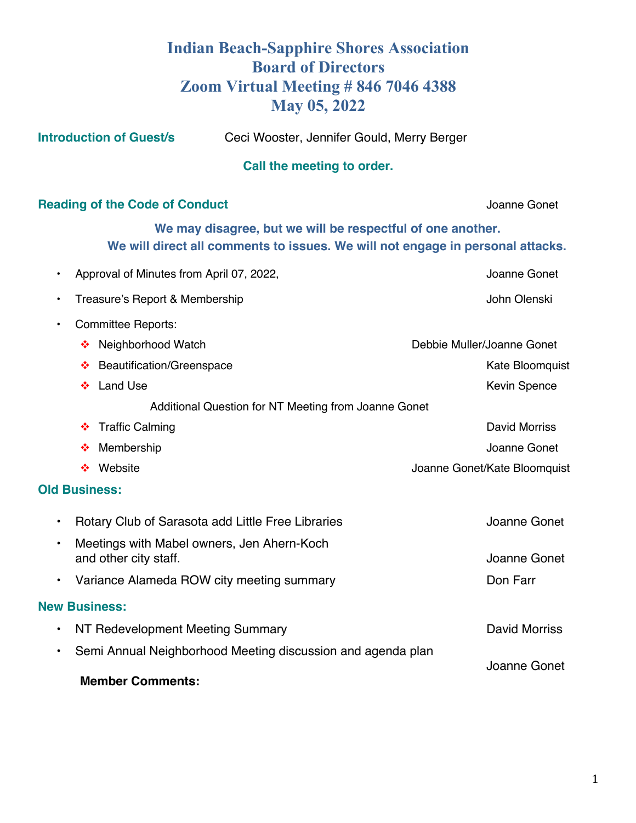## **Indian Beach-Sapphire Shores Association Board of Directors Zoom Virtual Meeting # 846 7046 4388 May 05, 2022**

**Introduction of Guest/s** Ceci Wooster, Jennifer Gould, Merry Berger

| Call the meeting to order.                                                                                                                   |                              |
|----------------------------------------------------------------------------------------------------------------------------------------------|------------------------------|
| <b>Reading of the Code of Conduct</b>                                                                                                        | Joanne Gonet                 |
| We may disagree, but we will be respectful of one another.<br>We will direct all comments to issues. We will not engage in personal attacks. |                              |
| Approval of Minutes from April 07, 2022,<br>$\bullet$                                                                                        | Joanne Gonet                 |
| Treasure's Report & Membership                                                                                                               | John Olenski                 |
| <b>Committee Reports:</b><br>$\bullet$                                                                                                       |                              |
| Neighborhood Watch<br>❖                                                                                                                      | Debbie Muller/Joanne Gonet   |
| <b>Beautification/Greenspace</b><br>❖                                                                                                        | Kate Bloomquist              |
| <b>Land Use</b><br>❖                                                                                                                         | <b>Kevin Spence</b>          |
| Additional Question for NT Meeting from Joanne Gonet                                                                                         |                              |
| ❖ Traffic Calming                                                                                                                            | David Morriss                |
| Membership<br>❤                                                                                                                              | Joanne Gonet                 |
| Website<br>∙≫                                                                                                                                | Joanne Gonet/Kate Bloomquist |
| <b>Old Business:</b>                                                                                                                         |                              |
| Rotary Club of Sarasota add Little Free Libraries<br>$\bullet$                                                                               | Joanne Gonet                 |
| Meetings with Mabel owners, Jen Ahern-Koch<br>$\bullet$<br>and other city staff.                                                             | Joanne Gonet                 |
| Variance Alameda ROW city meeting summary<br>$\bullet$                                                                                       | Don Farr                     |
| <b>New Business:</b>                                                                                                                         |                              |
| NT Redevelopment Meeting Summary<br>$\bullet$                                                                                                | <b>David Morriss</b>         |
| Semi Annual Neighborhood Meeting discussion and agenda plan<br>$\bullet$                                                                     |                              |
| <b>Member Comments:</b>                                                                                                                      | Joanne Gonet                 |